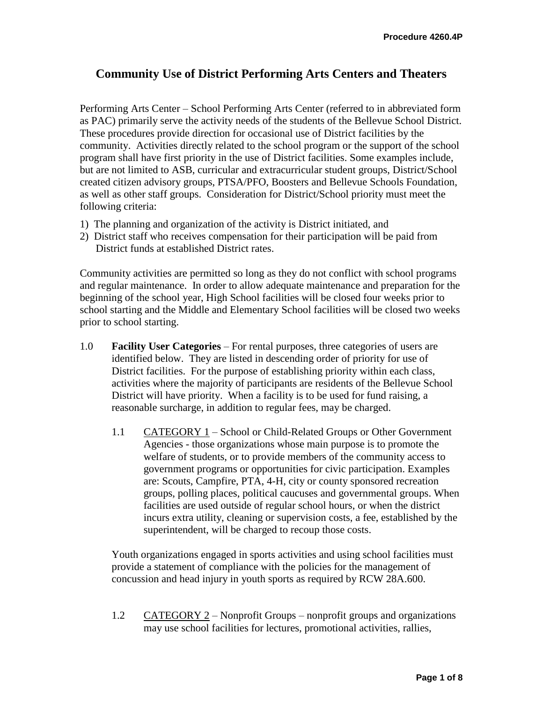# **Community Use of District Performing Arts Centers and Theaters**

Performing Arts Center – School Performing Arts Center (referred to in abbreviated form as PAC) primarily serve the activity needs of the students of the Bellevue School District. These procedures provide direction for occasional use of District facilities by the community. Activities directly related to the school program or the support of the school program shall have first priority in the use of District facilities. Some examples include, but are not limited to ASB, curricular and extracurricular student groups, District/School created citizen advisory groups, PTSA/PFO, Boosters and Bellevue Schools Foundation, as well as other staff groups. Consideration for District/School priority must meet the following criteria:

- 1) The planning and organization of the activity is District initiated, and
- 2) District staff who receives compensation for their participation will be paid from District funds at established District rates.

Community activities are permitted so long as they do not conflict with school programs and regular maintenance. In order to allow adequate maintenance and preparation for the beginning of the school year, High School facilities will be closed four weeks prior to school starting and the Middle and Elementary School facilities will be closed two weeks prior to school starting.

- 1.0 **Facility User Categories** For rental purposes, three categories of users are identified below. They are listed in descending order of priority for use of District facilities. For the purpose of establishing priority within each class, activities where the majority of participants are residents of the Bellevue School District will have priority. When a facility is to be used for fund raising, a reasonable surcharge, in addition to regular fees, may be charged.
	- 1.1 CATEGORY 1 School or Child-Related Groups or Other Government Agencies - those organizations whose main purpose is to promote the welfare of students, or to provide members of the community access to government programs or opportunities for civic participation. Examples are: Scouts, Campfire, PTA, 4-H, city or county sponsored recreation groups, polling places, political caucuses and governmental groups. When facilities are used outside of regular school hours, or when the district incurs extra utility, cleaning or supervision costs, a fee, established by the superintendent, will be charged to recoup those costs.

Youth organizations engaged in sports activities and using school facilities must provide a statement of compliance with the policies for the management of concussion and head injury in youth sports as required by RCW 28A.600.

1.2 CATEGORY 2 – Nonprofit Groups – nonprofit groups and organizations may use school facilities for lectures, promotional activities, rallies,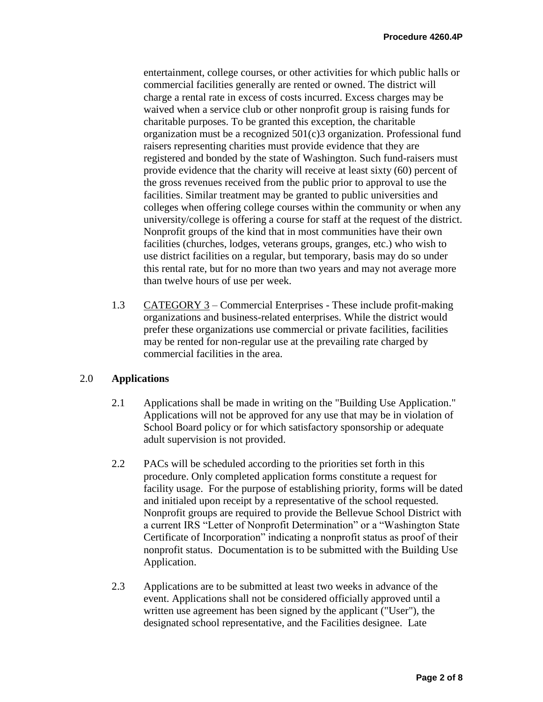entertainment, college courses, or other activities for which public halls or commercial facilities generally are rented or owned. The district will charge a rental rate in excess of costs incurred. Excess charges may be waived when a service club or other nonprofit group is raising funds for charitable purposes. To be granted this exception, the charitable organization must be a recognized 501(c)3 organization. Professional fund raisers representing charities must provide evidence that they are registered and bonded by the state of Washington. Such fund-raisers must provide evidence that the charity will receive at least sixty (60) percent of the gross revenues received from the public prior to approval to use the facilities. Similar treatment may be granted to public universities and colleges when offering college courses within the community or when any university/college is offering a course for staff at the request of the district. Nonprofit groups of the kind that in most communities have their own facilities (churches, lodges, veterans groups, granges, etc.) who wish to use district facilities on a regular, but temporary, basis may do so under this rental rate, but for no more than two years and may not average more than twelve hours of use per week.

1.3 CATEGORY 3 – Commercial Enterprises - These include profit-making organizations and business-related enterprises. While the district would prefer these organizations use commercial or private facilities, facilities may be rented for non-regular use at the prevailing rate charged by commercial facilities in the area.

## 2.0 **Applications**

- 2.1 Applications shall be made in writing on the "Building Use Application." Applications will not be approved for any use that may be in violation of School Board policy or for which satisfactory sponsorship or adequate adult supervision is not provided.
- 2.2 PACs will be scheduled according to the priorities set forth in this procedure. Only completed application forms constitute a request for facility usage. For the purpose of establishing priority, forms will be dated and initialed upon receipt by a representative of the school requested. Nonprofit groups are required to provide the Bellevue School District with a current IRS "Letter of Nonprofit Determination" or a "Washington State Certificate of Incorporation" indicating a nonprofit status as proof of their nonprofit status. Documentation is to be submitted with the Building Use Application.
- 2.3 Applications are to be submitted at least two weeks in advance of the event. Applications shall not be considered officially approved until a written use agreement has been signed by the applicant ("User"), the designated school representative, and the Facilities designee. Late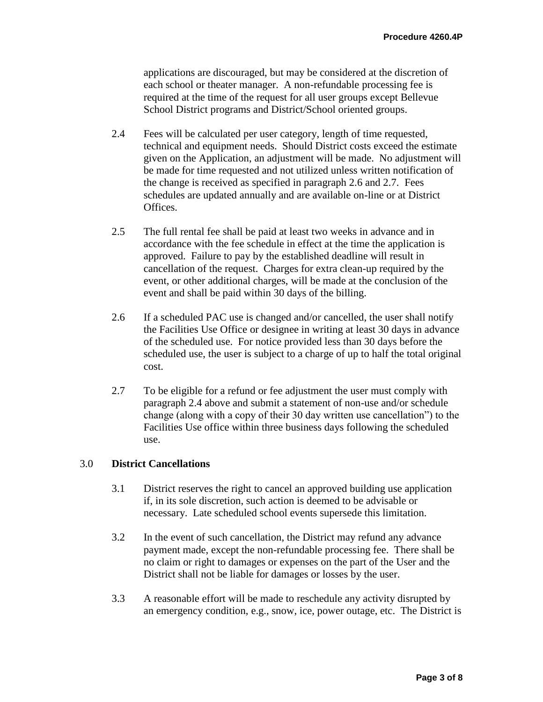applications are discouraged, but may be considered at the discretion of each school or theater manager. A non-refundable processing fee is required at the time of the request for all user groups except Bellevue School District programs and District/School oriented groups.

- 2.4 Fees will be calculated per user category, length of time requested, technical and equipment needs. Should District costs exceed the estimate given on the Application, an adjustment will be made. No adjustment will be made for time requested and not utilized unless written notification of the change is received as specified in paragraph 2.6 and 2.7. Fees schedules are updated annually and are available on-line or at District Offices.
- 2.5 The full rental fee shall be paid at least two weeks in advance and in accordance with the fee schedule in effect at the time the application is approved. Failure to pay by the established deadline will result in cancellation of the request. Charges for extra clean-up required by the event, or other additional charges, will be made at the conclusion of the event and shall be paid within 30 days of the billing.
- 2.6 If a scheduled PAC use is changed and/or cancelled, the user shall notify the Facilities Use Office or designee in writing at least 30 days in advance of the scheduled use. For notice provided less than 30 days before the scheduled use, the user is subject to a charge of up to half the total original cost.
- 2.7 To be eligible for a refund or fee adjustment the user must comply with paragraph 2.4 above and submit a statement of non-use and/or schedule change (along with a copy of their 30 day written use cancellation") to the Facilities Use office within three business days following the scheduled use.

## 3.0 **District Cancellations**

- 3.1 District reserves the right to cancel an approved building use application if, in its sole discretion, such action is deemed to be advisable or necessary. Late scheduled school events supersede this limitation.
- 3.2 In the event of such cancellation, the District may refund any advance payment made, except the non-refundable processing fee. There shall be no claim or right to damages or expenses on the part of the User and the District shall not be liable for damages or losses by the user.
- 3.3 A reasonable effort will be made to reschedule any activity disrupted by an emergency condition, e.g., snow, ice, power outage, etc. The District is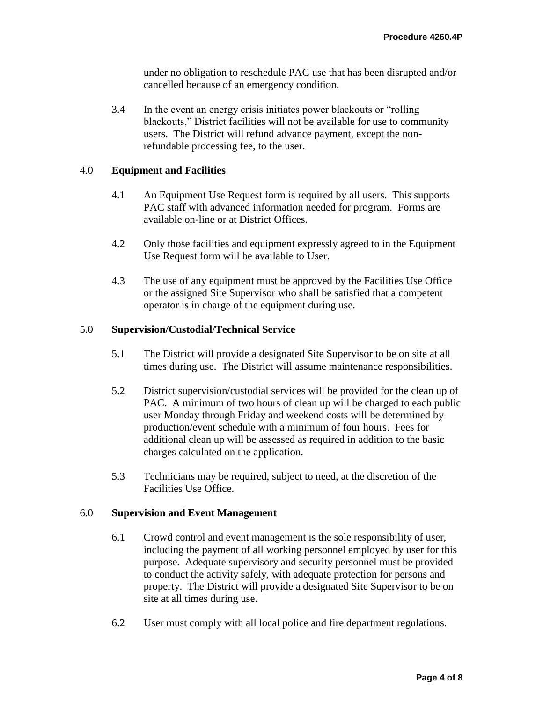under no obligation to reschedule PAC use that has been disrupted and/or cancelled because of an emergency condition.

3.4 In the event an energy crisis initiates power blackouts or "rolling blackouts," District facilities will not be available for use to community users. The District will refund advance payment, except the nonrefundable processing fee, to the user.

## 4.0 **Equipment and Facilities**

- 4.1 An Equipment Use Request form is required by all users. This supports PAC staff with advanced information needed for program. Forms are available on-line or at District Offices.
- 4.2 Only those facilities and equipment expressly agreed to in the Equipment Use Request form will be available to User.
- 4.3 The use of any equipment must be approved by the Facilities Use Office or the assigned Site Supervisor who shall be satisfied that a competent operator is in charge of the equipment during use.

## 5.0 **Supervision/Custodial/Technical Service**

- 5.1 The District will provide a designated Site Supervisor to be on site at all times during use. The District will assume maintenance responsibilities.
- 5.2 District supervision/custodial services will be provided for the clean up of PAC. A minimum of two hours of clean up will be charged to each public user Monday through Friday and weekend costs will be determined by production/event schedule with a minimum of four hours. Fees for additional clean up will be assessed as required in addition to the basic charges calculated on the application.
- 5.3 Technicians may be required, subject to need, at the discretion of the Facilities Use Office.

#### 6.0 **Supervision and Event Management**

- 6.1 Crowd control and event management is the sole responsibility of user, including the payment of all working personnel employed by user for this purpose. Adequate supervisory and security personnel must be provided to conduct the activity safely, with adequate protection for persons and property. The District will provide a designated Site Supervisor to be on site at all times during use.
- 6.2 User must comply with all local police and fire department regulations.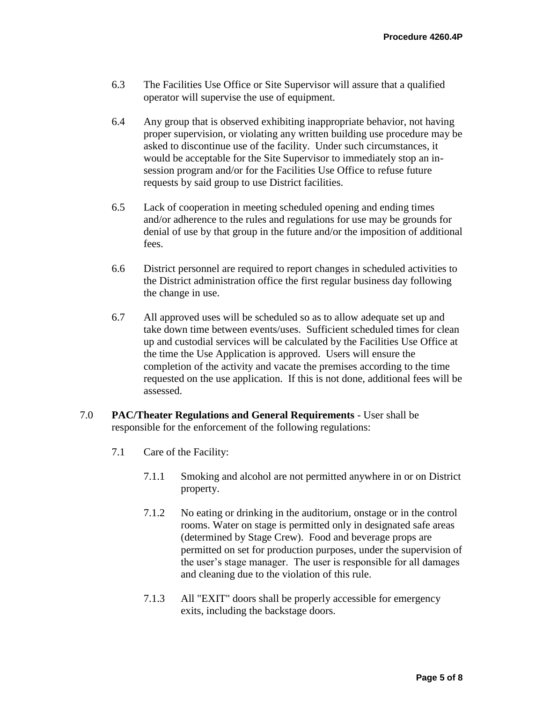- 6.3 The Facilities Use Office or Site Supervisor will assure that a qualified operator will supervise the use of equipment.
- 6.4 Any group that is observed exhibiting inappropriate behavior, not having proper supervision, or violating any written building use procedure may be asked to discontinue use of the facility. Under such circumstances, it would be acceptable for the Site Supervisor to immediately stop an insession program and/or for the Facilities Use Office to refuse future requests by said group to use District facilities.
- 6.5 Lack of cooperation in meeting scheduled opening and ending times and/or adherence to the rules and regulations for use may be grounds for denial of use by that group in the future and/or the imposition of additional fees.
- 6.6 District personnel are required to report changes in scheduled activities to the District administration office the first regular business day following the change in use.
- 6.7 All approved uses will be scheduled so as to allow adequate set up and take down time between events/uses. Sufficient scheduled times for clean up and custodial services will be calculated by the Facilities Use Office at the time the Use Application is approved. Users will ensure the completion of the activity and vacate the premises according to the time requested on the use application. If this is not done, additional fees will be assessed.
- 7.0 **PAC/Theater Regulations and General Requirements** User shall be responsible for the enforcement of the following regulations:
	- 7.1 Care of the Facility:
		- 7.1.1 Smoking and alcohol are not permitted anywhere in or on District property.
		- 7.1.2 No eating or drinking in the auditorium, onstage or in the control rooms. Water on stage is permitted only in designated safe areas (determined by Stage Crew). Food and beverage props are permitted on set for production purposes, under the supervision of the user's stage manager. The user is responsible for all damages and cleaning due to the violation of this rule.
		- 7.1.3 All "EXIT" doors shall be properly accessible for emergency exits, including the backstage doors.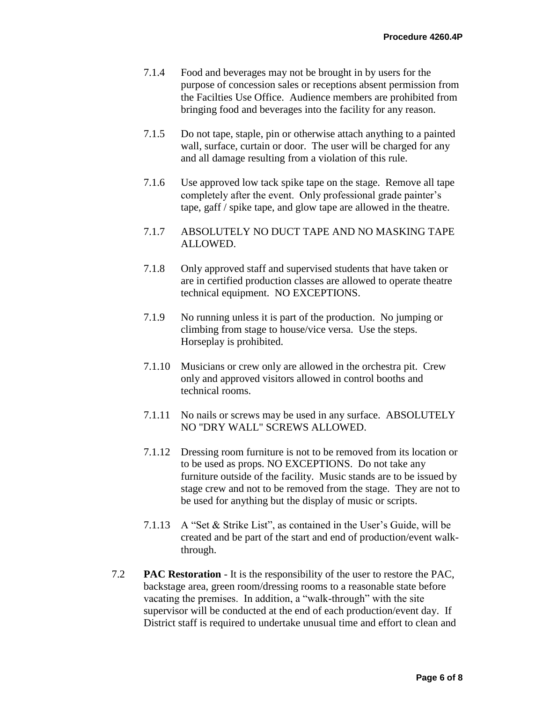- 7.1.4 Food and beverages may not be brought in by users for the purpose of concession sales or receptions absent permission from the Facilties Use Office. Audience members are prohibited from bringing food and beverages into the facility for any reason.
- 7.1.5 Do not tape, staple, pin or otherwise attach anything to a painted wall, surface, curtain or door. The user will be charged for any and all damage resulting from a violation of this rule.
- 7.1.6 Use approved low tack spike tape on the stage. Remove all tape completely after the event. Only professional grade painter's tape, gaff / spike tape, and glow tape are allowed in the theatre.
- 7.1.7 ABSOLUTELY NO DUCT TAPE AND NO MASKING TAPE ALLOWED.
- 7.1.8 Only approved staff and supervised students that have taken or are in certified production classes are allowed to operate theatre technical equipment. NO EXCEPTIONS.
- 7.1.9 No running unless it is part of the production. No jumping or climbing from stage to house/vice versa. Use the steps. Horseplay is prohibited.
- 7.1.10 Musicians or crew only are allowed in the orchestra pit. Crew only and approved visitors allowed in control booths and technical rooms.
- 7.1.11 No nails or screws may be used in any surface. ABSOLUTELY NO "DRY WALL" SCREWS ALLOWED.
- 7.1.12 Dressing room furniture is not to be removed from its location or to be used as props. NO EXCEPTIONS. Do not take any furniture outside of the facility. Music stands are to be issued by stage crew and not to be removed from the stage. They are not to be used for anything but the display of music or scripts.
- 7.1.13 A "Set & Strike List", as contained in the User's Guide, will be created and be part of the start and end of production/event walkthrough.
- 7.2 **PAC Restoration** It is the responsibility of the user to restore the PAC, backstage area, green room/dressing rooms to a reasonable state before vacating the premises. In addition, a "walk-through" with the site supervisor will be conducted at the end of each production/event day. If District staff is required to undertake unusual time and effort to clean and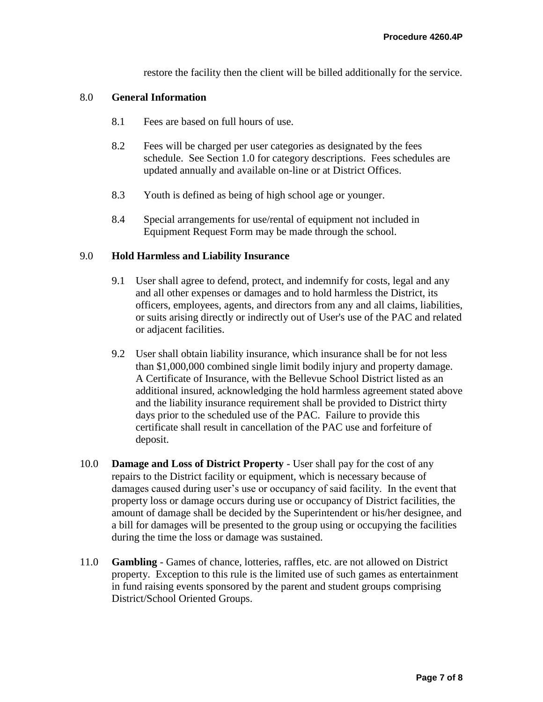restore the facility then the client will be billed additionally for the service.

#### 8.0 **General Information**

- 8.1 Fees are based on full hours of use.
- 8.2 Fees will be charged per user categories as designated by the fees schedule. See Section 1.0 for category descriptions. Fees schedules are updated annually and available on-line or at District Offices.
- 8.3 Youth is defined as being of high school age or younger.
- 8.4 Special arrangements for use/rental of equipment not included in Equipment Request Form may be made through the school.

#### 9.0 **Hold Harmless and Liability Insurance**

- 9.1 User shall agree to defend, protect, and indemnify for costs, legal and any and all other expenses or damages and to hold harmless the District, its officers, employees, agents, and directors from any and all claims, liabilities, or suits arising directly or indirectly out of User's use of the PAC and related or adjacent facilities.
- 9.2 User shall obtain liability insurance, which insurance shall be for not less than \$1,000,000 combined single limit bodily injury and property damage. A Certificate of Insurance, with the Bellevue School District listed as an additional insured, acknowledging the hold harmless agreement stated above and the liability insurance requirement shall be provided to District thirty days prior to the scheduled use of the PAC. Failure to provide this certificate shall result in cancellation of the PAC use and forfeiture of deposit.
- 10.0 **Damage and Loss of District Property** User shall pay for the cost of any repairs to the District facility or equipment, which is necessary because of damages caused during user's use or occupancy of said facility. In the event that property loss or damage occurs during use or occupancy of District facilities, the amount of damage shall be decided by the Superintendent or his/her designee, and a bill for damages will be presented to the group using or occupying the facilities during the time the loss or damage was sustained.
- 11.0 **Gambling** Games of chance, lotteries, raffles, etc. are not allowed on District property. Exception to this rule is the limited use of such games as entertainment in fund raising events sponsored by the parent and student groups comprising District/School Oriented Groups.